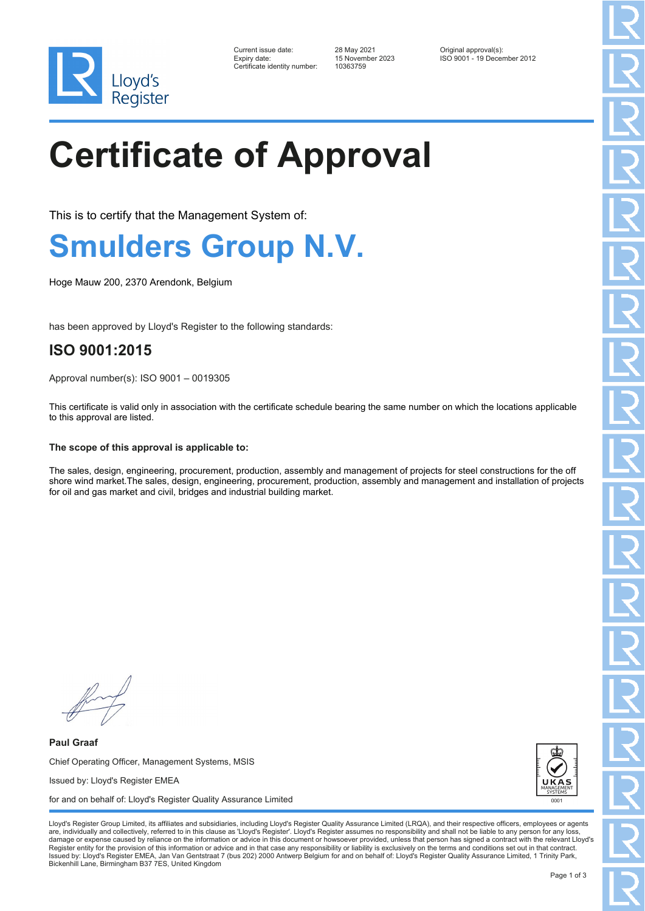

| Current issue date:          |  |
|------------------------------|--|
| Expiry date:                 |  |
| Certificate identity number: |  |

Certificate identity number: 10363759

Current issue date: 28 May 2021 Original approval(s): Expiry date: 15 November 2023 ISO 9001 - 19 December 2012

# **Certificate of Approval**

This is to certify that the Management System of:

### **Smulders Group N.V.**

Hoge Mauw 200, 2370 Arendonk, Belgium

has been approved by Lloyd's Register to the following standards:

### **ISO 9001:2015**

Approval number(s): ISO 9001 – 0019305

This certificate is valid only in association with the certificate schedule bearing the same number on which the locations applicable to this approval are listed.

#### **The scope of this approval is applicable to:**

The sales, design, engineering, procurement, production, assembly and management of projects for steel constructions for the off shore wind market.The sales, design, engineering, procurement, production, assembly and management and installation of projects for oil and gas market and civil, bridges and industrial building market.

**Paul Graaf** Chief Operating Officer, Management Systems, MSIS Issued by: Lloyd's Register EMEA for and on behalf of: Lloyd's Register Quality Assurance Limited



Lloyd's Register Group Limited, its affiliates and subsidiaries, including Lloyd's Register Quality Assurance Limited (LRQA), and their respective officers, employees or agents are, individually and collectively, referred to in this clause as 'Lloyd's Register'. Lloyd's Register assumes no responsibility and shall not be liable to any person for any los damage or expense caused by reliance on the information or advice in this document or howsoever provided, unless that person has signed a contract with the relevant Lloyd's<br>Register entity for the provision of this informa Issued by: Lloyd's Register EMEA, Jan Van Gentstraat 7 (bus 202) 2000 Antwerp Belgium for and on behalf of: Lloyd's Register Quality Assurance Limited, 1 Trinity Park, Bickenhill Lane, Birmingham B37 7ES, United Kingdom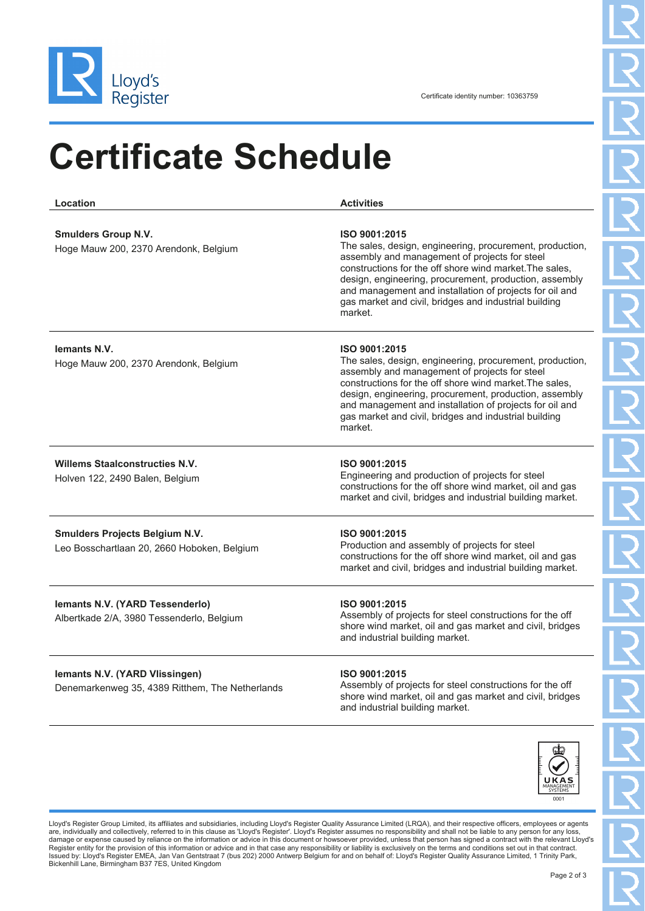

## **Certificate Schedule**

**Location Activities Smulders Group N.V.** Hoge Mauw 200, 2370 Arendonk, Belgium **ISO 9001:2015** The sales, design, engineering, procurement, production, assembly and management of projects for steel constructions for the off shore wind market.The sales, design, engineering, procurement, production, assembly and management and installation of projects for oil and gas market and civil, bridges and industrial building market. **Iemants N.V.** Hoge Mauw 200, 2370 Arendonk, Belgium **ISO 9001:2015** The sales, design, engineering, procurement, production, assembly and management of projects for steel constructions for the off shore wind market.The sales, design, engineering, procurement, production, assembly and management and installation of projects for oil and gas market and civil, bridges and industrial building market. **Willems Staalconstructies N.V.** Holven 122, 2490 Balen, Belgium **ISO 9001:2015** Engineering and production of projects for steel constructions for the off shore wind market, oil and gas market and civil, bridges and industrial building market. **Smulders Projects Belgium N.V.** Leo Bosschartlaan 20, 2660 Hoboken, Belgium **ISO 9001:2015** Production and assembly of projects for steel constructions for the off shore wind market, oil and gas market and civil, bridges and industrial building market. **Iemants N.V. (YARD Tessenderlo)** Albertkade 2/A, 3980 Tessenderlo, Belgium **ISO 9001:2015** Assembly of projects for steel constructions for the off shore wind market, oil and gas market and civil, bridges and industrial building market. **Iemants N.V. (YARD Vlissingen)** Denemarkenweg 35, 4389 Ritthem, The Netherlands **ISO 9001:2015** Assembly of projects for steel constructions for the off



shore wind market, oil and gas market and civil, bridges

and industrial building market.

Lloyd's Register Group Limited, its affiliates and subsidiaries, including Lloyd's Register Quality Assurance Limited (LRQA), and their respective officers, employees or agents are, individually and collectively, referred to in this clause as 'Lloyd's Register'. Lloyd's Register assumes no responsibility and shall not be liable to any person for any lo damage or expense caused by reliance on the information or advice in this document or howsoever provided, unless that person has signed a contract with the relevant Lloyd's<br>Register entity for the provision of this informa Issued by: Lloyd's Register EMEA, Jan Van Gentstraat 7 (bus 202) 2000 Antwerp Belgium for and on behalf of: Lloyd's Register Quality Assurance Limited, 1 Trinity Park, Bickenhill Lane, Birmingham B37 7ES, United Kingdom